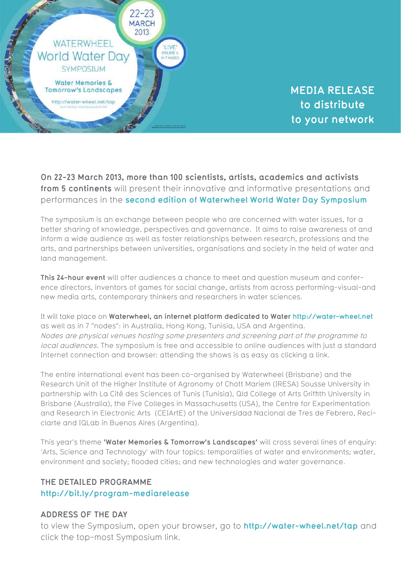

**MEDIA RELEASE to distribute to your network**

**On 22-23 March 2013, more than 100 scientists, artists, academics and activists from 5 continents** will present their innovative and informative presentations and performances in the **[second edition of Waterwheel World Water Day Symposium](http://bit.ly/program-mediarelease)**.

The symposium is an exchange between people who are concerned with water issues, for a better sharing of knowledge, perspectives and governance. It aims to raise awareness of and inform a wide audience as well as foster relationships between research, professions and the arts, and partnerships between universities, organisations and society in the field of water and land management.

**This 24-hour event** will offer audiences a chance to meet and question museum and conference directors, inventors of games for social change, artists from across performing-visual-and new media arts, contemporary thinkers and researchers in water sciences.

It will take place on **Waterwheel, an internet platform dedicated to Water http://water-wheel.net** as well as in 7 "nodes": in Australia, Hong Kong, Tunisia, USA and Argentina. Nodes are physical venues hosting some presenters and screening part of the programme to local audiences. The symposium is free and accessible to online audiences with just a standard Internet connection and browser: attending the shows is as easy as clicking a link.

The entire international event has been co-organised by Waterwheel (Brisbane) and the Research Unit of the Higher Institute of Agronomy of Chott Mariem (IRESA) Sousse University in partnership with La Cité des Sciences of Tunis (Tunisia), Qld College of Arts Griffith University in Brisbane (Australia), the Five Colleges in Massachusetts (USA), the Centre for Experimentation and Research in Electronic Arts (CEIArtE) of the Universidad Nacional de Tres de Febrero, Reciclarte and IQLab in Buenos Aires (Argentina).

This year's theme **'Water Memories & Tomorrow's Landscapes'** will cross several lines of enquiry: 'Arts, Science and Technology' with four topics: temporalities of water and environments; water, environment and society; flooded cities; and new technologies and water governance.

## **THE DETAILED PROGRAMME http://bit.ly/program-mediarelease**

## **ADDRESS OF THE DAY**

to view the Symposium, open your browser, go to **http://water-wheel.net/tap** and click the top-most Symposium link.